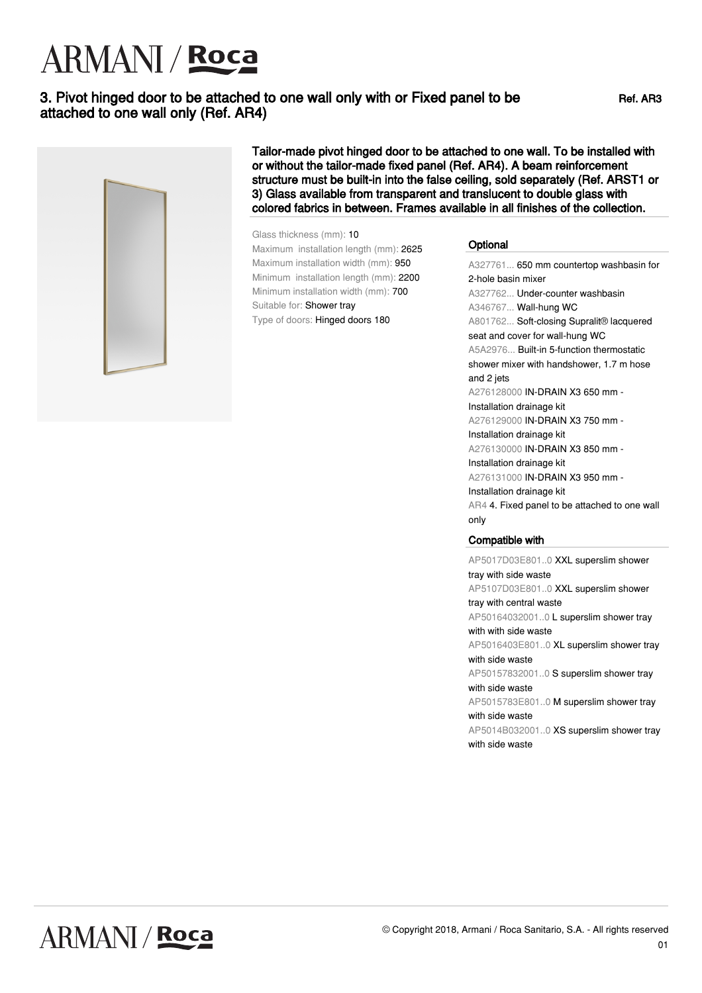# ARMANI / Roca

### 3. Pivot hinged door to be attached to one wall only with or Fixed panel to be attached to one wall only (Ref. AR4)



Tailor-made pivot hinged door to be attached to one wall. To be installed with or without the tailor-made fixed panel (Ref. AR4). A beam reinforcement structure must be built-in into the false ceiling, sold separately (Ref. ARST1 or 3) Glass available from transparent and translucent to double glass with colored fabrics in between. Frames available in all finishes of the collection.

#### Glass thickness (mm): 10 Maximum installation length (mm): 2625

Maximum installation width (mm): 950 Minimum installation length (mm): 2200 Minimum installation width (mm): 700 Suitable for: Shower tray Type of doors: Hinged doors 180°

#### **Optional**

A327761... 650 mm countertop washbasin for 2-hole basin mixer A327762... Under-counter washbasin A346767... Wall-hung WC A801762... Soft-closing Supralit® lacquered seat and cover for wall-hung WC A5A2976... Built-in 5-function thermostatic shower mixer with handshower, 1.7 m hose and 2 jets A276128000 IN-DRAIN X3 650 mm - Installation drainage kit A276129000 IN-DRAIN X3 750 mm - Installation drainage kit A276130000 IN-DRAIN X3 850 mm - Installation drainage kit A276131000 IN-DRAIN X3 950 mm - Installation drainage kit AR4 4. Fixed panel to be attached to one wall only

#### Compatible with

AP5017D03E801..0 XXL superslim shower tray with side waste AP5107D03E801..0 XXL superslim shower tray with central waste

AP50164032001..0 L superslim shower tray with with side waste

AP5016403E801..0 XL superslim shower tray with side waste

AP50157832001..0 S superslim shower tray with side waste

AP5015783E801..0 M superslim shower tray with side waste

AP5014B032001..0 XS superslim shower tray with side waste

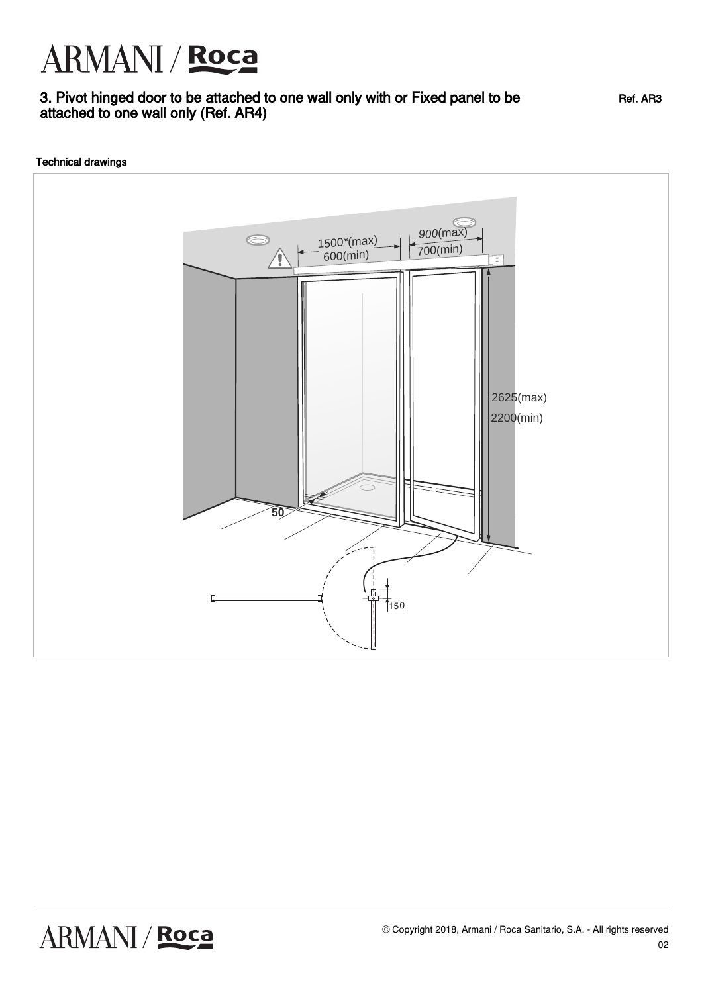## ARMANI / Roca

## 3. Pivot hinged door to be attached to one wall only with or Fixed panel to be attached to one wall only (Ref. AR4)

Technical drawings



Ref. AR3